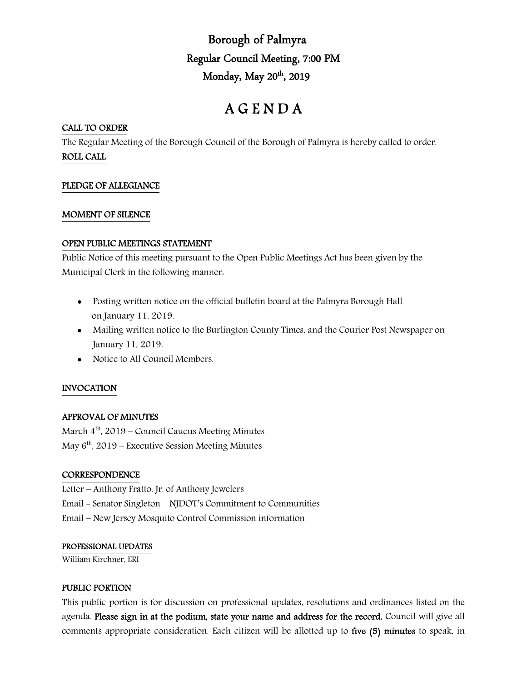## Borough of Palmyra Regular Council Meeting, 7:00 PM Monday, May 20th, 2019

# A G E N D A

#### CALL TO ORDER

The Regular Meeting of the Borough Council of the Borough of Palmyra is hereby called to order. ROLL CALL

## PLEDGE OF ALLEGIANCE

#### MOMENT OF SILENCE

#### OPEN PUBLIC MEETINGS STATEMENT

Public Notice of this meeting pursuant to the Open Public Meetings Act has been given by the Municipal Clerk in the following manner:

- Posting written notice on the official bulletin board at the Palmyra Borough Hall on January 11, 2019.
- Mailing written notice to the Burlington County Times, and the Courier Post Newspaper on January 11, 2019.
- Notice to All Council Members.

## INVOCATION

## APPROVAL OF MINUTES

March  $4^{\text{th}}$ , 2019 – Council Caucus Meeting Minutes May  $6<sup>th</sup>$ , 2019 – Executive Session Meeting Minutes

#### **CORRESPONDENCE**

Letter – Anthony Fratto, Jr. of Anthony Jewelers Email - Senator Singleton – NJDOT's Commitment to Communities Email – New Jersey Mosquito Control Commission information

#### PROFESSIONAL UPDATES

William Kirchner, ERI

#### PUBLIC PORTION

This public portion is for discussion on professional updates, resolutions and ordinances listed on the agenda. Please sign in at the podium, state your name and address for the record. Council will give all comments appropriate consideration. Each citizen will be allotted up to five (5) minutes to speak, in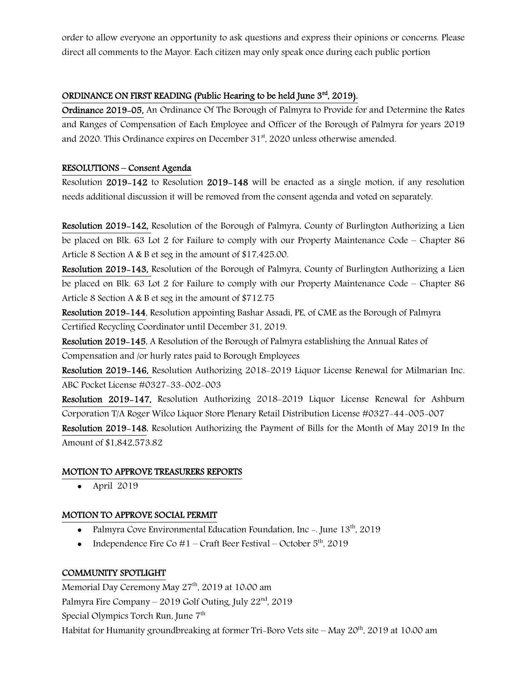order to allow everyone an opportunity to ask questions and express their opinions or concerns. Please direct all comments to the Mayor. Each citizen may only speak once during each public portion

## ORDINANCE ON FIRST READING (Public Hearing to be held June  $3<sup>rd</sup>$ , 2019).

Ordinance 2019-05, An Ordinance Of The Borough of Palmyra to Provide for and Determine the Rates and Ranges of Compensation of Each Employee and Officer of the Borough of Palmyra for years 2019 and 2020. This Ordinance expires on December  $31<sup>st</sup>$ , 2020 unless otherwise amended.

## RESOLUTIONS – Consent Agenda

Resolution 2019-142 to Resolution 2019-148 will be enacted as a single motion, if any resolution needs additional discussion it will be removed from the consent agenda and voted on separately.

Resolution 2019-142, Resolution of the Borough of Palmyra, County of Burlington Authorizing a Lien be placed on Blk. 63 Lot 2 for Failure to comply with our Property Maintenance Code – Chapter 86 Article 8 Section A & B et seg in the amount of \$17,425.00.

Resolution 2019-143, Resolution of the Borough of Palmyra, County of Burlington Authorizing a Lien be placed on Blk. 63 Lot 2 for Failure to comply with our Property Maintenance Code – Chapter 86 Article 8 Section A & B et seg in the amount of \$712.75

Resolution 2019-144, Resolution appointing Bashar Assadi, PE, of CME as the Borough of Palmyra Certified Recycling Coordinator until December 31, 2019.

Resolution 2019-145, A Resolution of the Borough of Palmyra establishing the Annual Rates of Compensation and /or hurly rates paid to Borough Employees

Resolution 2019-146, Resolution Authorizing 2018-2019 Liquor License Renewal for Milmarian Inc. ABC Pocket License #0327-33-002-003

Resolution 2019-147, Resolution Authorizing 2018-2019 Liquor License Renewal for Ashburn Corporation T/A Roger Wilco Liquor Store Plenary Retail Distribution License #0327-44-005-007 Resolution 2019-148, Resolution Authorizing the Payment of Bills for the Month of May 2019 In the

Amount of \$1,842,573.82

## MOTION TO APPROVE TREASURERS REPORTS

April 2019

## MOTION TO APPROVE SOCIAL PERMIT

- Palmyra Cove Environmental Education Foundation, Inc -. June  $13<sup>th</sup>$ , 2019
- Independence Fire Co  $#1$  Craft Beer Festival October  $5<sup>th</sup>$ , 2019

## COMMUNITY SPOTLIGHT

Memorial Day Ceremony May 27<sup>th</sup>, 2019 at 10:00 am Palmyra Fire Company – 2019 Golf Outing, July  $22<sup>nd</sup>$ , 2019 Special Olympics Torch Run, June 7<sup>th</sup> Habitat for Humanity groundbreaking at former Tri-Boro Vets site – May 20th, 2019 at 10:00 am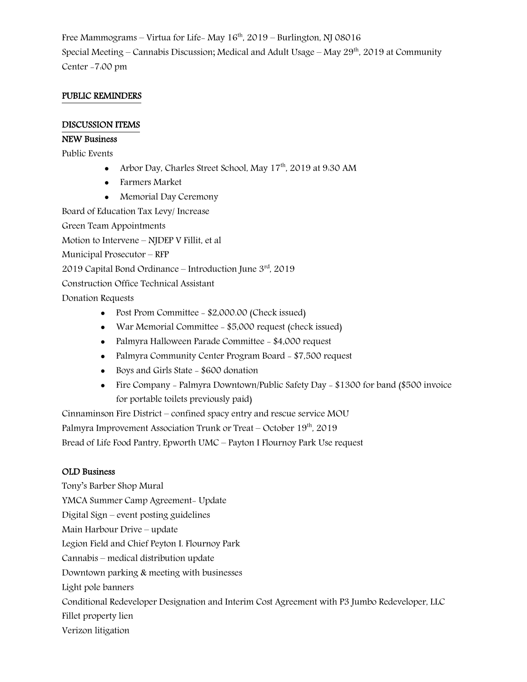Free Mammograms – Virtua for Life-May  $16<sup>th</sup>$ , 2019 – Burlington, NJ 08016 Special Meeting – Cannabis Discussion; Medical and Adult Usage – May  $29<sup>th</sup>$ , 2019 at Community Center -7:00 pm

## PUBLIC REMINDERS

#### DISCUSSION ITEMS

#### NEW Business

Public Events

- Arbor Day, Charles Street School, May 17<sup>th</sup>, 2019 at 9:30 AM
- Farmers Market
- Memorial Day Ceremony

Board of Education Tax Levy/ Increase

Green Team Appointments

Motion to Intervene – NJDEP V Fillit, et al

Municipal Prosecutor – RFP

2019 Capital Bond Ordinance – Introduction June 3rd, 2019

Construction Office Technical Assistant

Donation Requests

- Post Prom Committee \$2,000.00 (Check issued)
- War Memorial Committee \$5,000 request (check issued)
- Palmyra Halloween Parade Committee \$4,000 request
- Palmyra Community Center Program Board \$7,500 request
- Boys and Girls State \$600 donation
- Fire Company Palmyra Downtown/Public Safety Day \$1300 for band (\$500 invoice for portable toilets previously paid)

Cinnaminson Fire District – confined spacy entry and rescue service MOU Palmyra Improvement Association Trunk or Treat – October 19<sup>th</sup>, 2019

Bread of Life Food Pantry, Epworth UMC – Payton I Flournoy Park Use request

#### OLD Business

Tony's Barber Shop Mural YMCA Summer Camp Agreement- Update Digital Sign – event posting guidelines Main Harbour Drive – update Legion Field and Chief Peyton I. Flournoy Park Cannabis – medical distribution update Downtown parking & meeting with businesses Light pole banners Conditional Redeveloper Designation and Interim Cost Agreement with P3 Jumbo Redeveloper, LLC Fillet property lien Verizon litigation